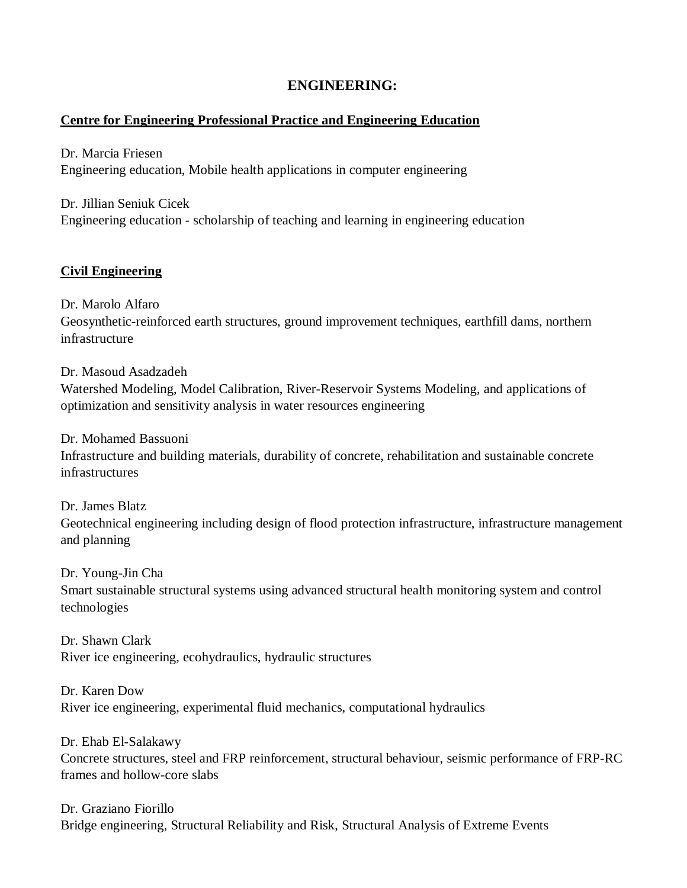# **ENGINEERING:**

## **Centre for Engineering Professional Practice and Engineering Education**

Dr. Marcia Friesen Engineering education, Mobile health applications in computer engineering

Dr. Jillian Seniuk Cicek Engineering education - scholarship of teaching and learning in engineering education

## **Civil Engineering**

Dr. Marolo Alfaro

Geosynthetic-reinforced earth structures, ground improvement techniques, earthfill dams, northern infrastructure

Dr. Masoud Asadzadeh

Watershed Modeling, Model Calibration, River-Reservoir Systems Modeling, and applications of optimization and sensitivity analysis in water resources engineering

Dr. Mohamed Bassuoni

Infrastructure and building materials, durability of concrete, rehabilitation and sustainable concrete infrastructures

Dr. James Blatz Geotechnical engineering including design of flood protection infrastructure, infrastructure management and planning

Dr. Young-Jin Cha

Smart sustainable structural systems using advanced structural health monitoring system and control technologies

Dr. Shawn Clark River ice engineering, ecohydraulics, hydraulic structures

Dr. Karen Dow River ice engineering, experimental fluid mechanics, computational hydraulics

Dr. Ehab El-Salakawy Concrete structures, steel and FRP reinforcement, structural behaviour, seismic performance of FRP-RC frames and hollow-core slabs

Dr. Graziano Fiorillo Bridge engineering, Structural Reliability and Risk, Structural Analysis of Extreme Events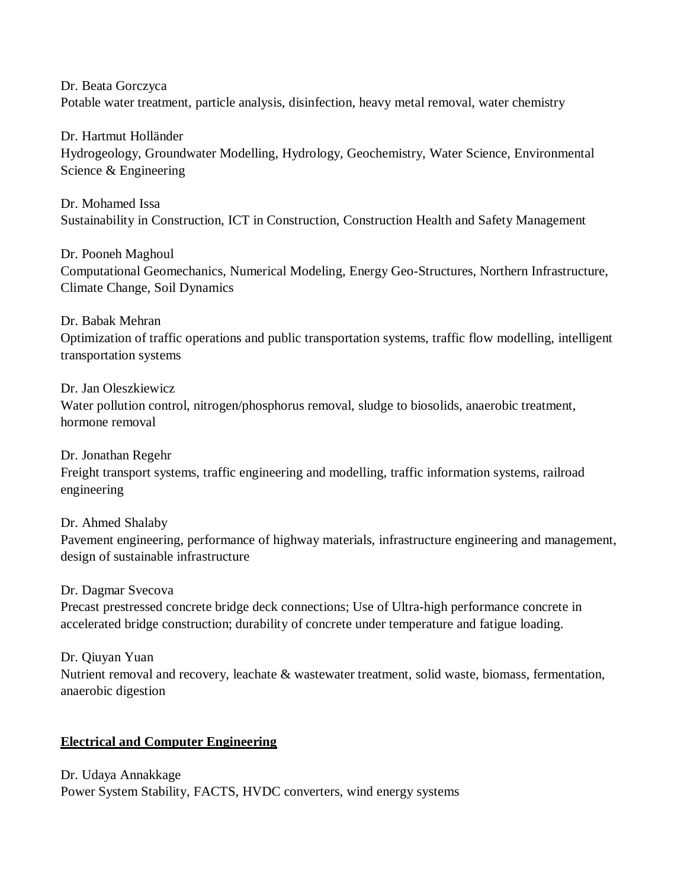Dr. Beata Gorczyca

Potable water treatment, particle analysis, disinfection, heavy metal removal, water chemistry

Dr. Hartmut Holländer Hydrogeology, Groundwater Modelling, Hydrology, Geochemistry, Water Science, Environmental Science & Engineering

Dr. Mohamed Issa Sustainability in Construction, ICT in Construction, Construction Health and Safety Management

Dr. Pooneh Maghoul Computational Geomechanics, Numerical Modeling, Energy Geo-Structures, Northern Infrastructure, Climate Change, Soil Dynamics

Dr. Babak Mehran Optimization of traffic operations and public transportation systems, traffic flow modelling, intelligent transportation systems

Dr. Jan Oleszkiewicz

Water pollution control, nitrogen/phosphorus removal, sludge to biosolids, anaerobic treatment, hormone removal

Dr. Jonathan Regehr Freight transport systems, traffic engineering and modelling, traffic information systems, railroad engineering

Dr. Ahmed Shalaby Pavement engineering, performance of highway materials, infrastructure engineering and management, design of sustainable infrastructure

Dr. Dagmar Svecova

Precast prestressed concrete bridge deck connections; Use of Ultra-high performance concrete in accelerated bridge construction; durability of concrete under temperature and fatigue loading.

Dr. Qiuyan Yuan Nutrient removal and recovery, leachate & wastewater treatment, solid waste, biomass, fermentation, anaerobic digestion

## **Electrical and Computer Engineering**

Dr. Udaya Annakkage Power System Stability, FACTS, HVDC converters, wind energy systems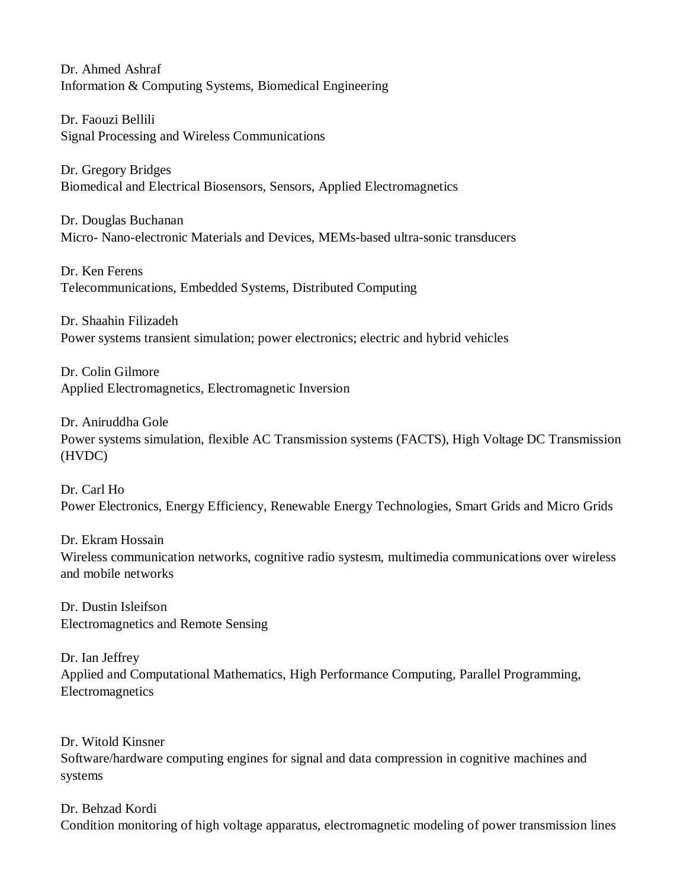Dr. Ahmed Ashraf Information & Computing Systems, Biomedical Engineering

Dr. Faouzi Bellili Signal Processing and Wireless Communications

Dr. Gregory Bridges Biomedical and Electrical Biosensors, Sensors, Applied Electromagnetics

Dr. Douglas Buchanan Micro- Nano-electronic Materials and Devices, MEMs-based ultra-sonic transducers

Dr. Ken Ferens Telecommunications, Embedded Systems, Distributed Computing

Dr. Shaahin Filizadeh Power systems transient simulation; power electronics; electric and hybrid vehicles

Dr. Colin Gilmore Applied Electromagnetics, Electromagnetic Inversion

Dr. Aniruddha Gole

Power systems simulation, flexible AC Transmission systems (FACTS), High Voltage DC Transmission (HVDC)

Dr. Carl Ho Power Electronics, Energy Efficiency, Renewable Energy Technologies, Smart Grids and Micro Grids

Dr. Ekram Hossain Wireless communication networks, cognitive radio systesm, multimedia communications over wireless and mobile networks

Dr. Dustin Isleifson Electromagnetics and Remote Sensing

Dr. Ian Jeffrey Applied and Computational Mathematics, High Performance Computing, Parallel Programming, Electromagnetics

Dr. Witold Kinsner Software/hardware computing engines for signal and data compression in cognitive machines and systems

Dr. Behzad Kordi Condition monitoring of high voltage apparatus, electromagnetic modeling of power transmission lines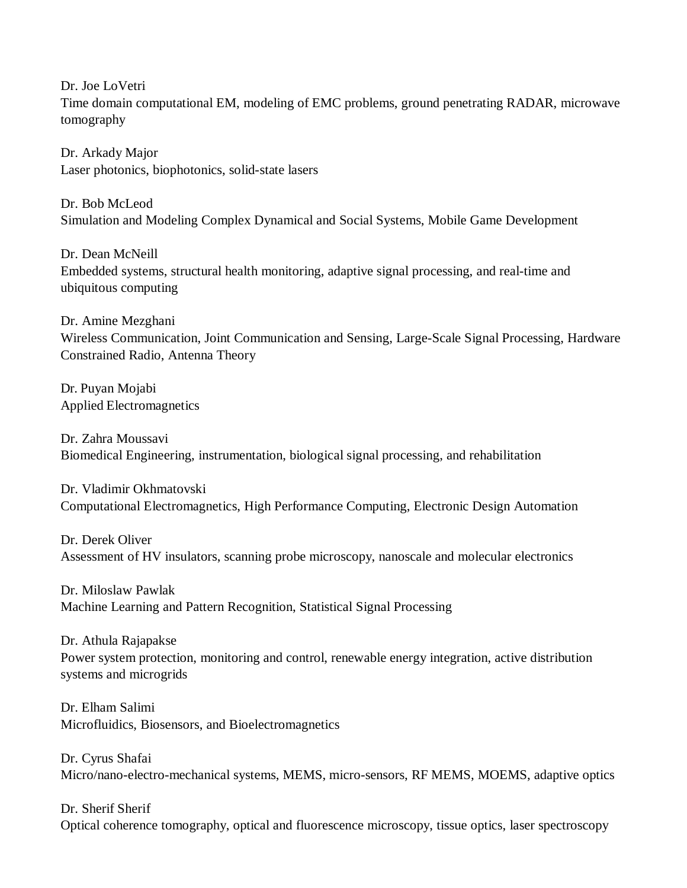Dr. Joe LoVetri Time domain computational EM, modeling of EMC problems, ground penetrating RADAR, microwave tomography

Dr. Arkady Major Laser photonics, biophotonics, solid-state lasers

Dr. Bob McLeod Simulation and Modeling Complex Dynamical and Social Systems, Mobile Game Development

Dr. Dean McNeill Embedded systems, structural health monitoring, adaptive signal processing, and real-time and ubiquitous computing

Dr. Amine Mezghani Wireless Communication, Joint Communication and Sensing, Large-Scale Signal Processing, Hardware Constrained Radio, Antenna Theory

Dr. Puyan Mojabi Applied Electromagnetics

Dr. Zahra Moussavi Biomedical Engineering, instrumentation, biological signal processing, and rehabilitation

Dr. Vladimir Okhmatovski Computational Electromagnetics, High Performance Computing, Electronic Design Automation

Dr. Derek Oliver Assessment of HV insulators, scanning probe microscopy, nanoscale and molecular electronics

Dr. Miloslaw Pawlak Machine Learning and Pattern Recognition, Statistical Signal Processing

Dr. Athula Rajapakse Power system protection, monitoring and control, renewable energy integration, active distribution systems and microgrids

Dr. Elham Salimi Microfluidics, Biosensors, and Bioelectromagnetics

Dr. Cyrus Shafai Micro/nano-electro-mechanical systems, MEMS, micro-sensors, RF MEMS, MOEMS, adaptive optics

Dr. Sherif Sherif Optical coherence tomography, optical and fluorescence microscopy, tissue optics, laser spectroscopy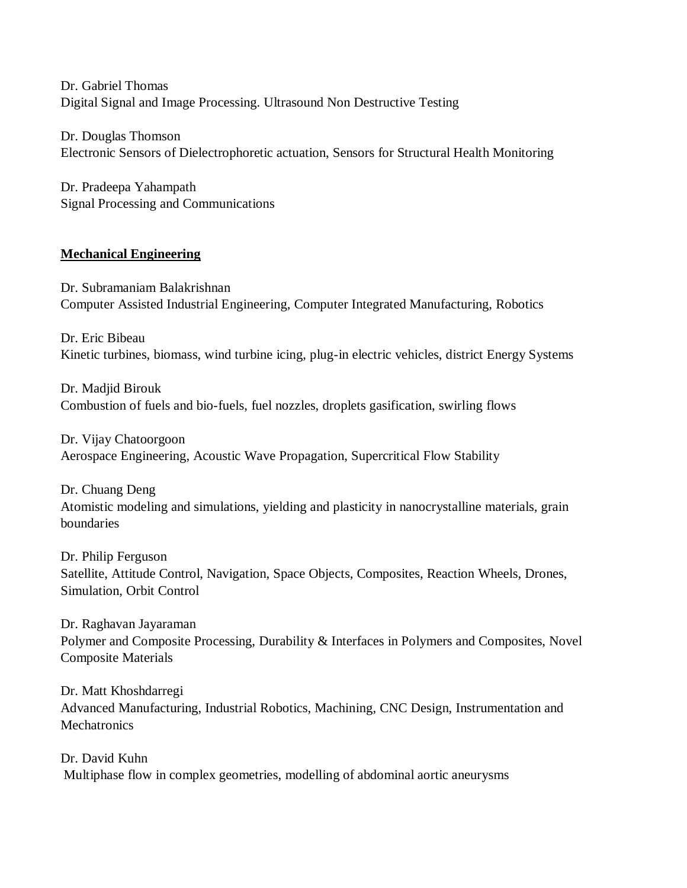Dr. Gabriel Thomas Digital Signal and Image Processing. Ultrasound Non Destructive Testing

Dr. Douglas Thomson Electronic Sensors of Dielectrophoretic actuation, Sensors for Structural Health Monitoring

Dr. Pradeepa Yahampath Signal Processing and Communications

## **Mechanical Engineering**

Dr. Subramaniam Balakrishnan Computer Assisted Industrial Engineering, Computer Integrated Manufacturing, Robotics

Dr. Eric Bibeau Kinetic turbines, biomass, wind turbine icing, plug-in electric vehicles, district Energy Systems

Dr. Madjid Birouk Combustion of fuels and bio-fuels, fuel nozzles, droplets gasification, swirling flows

Dr. Vijay Chatoorgoon Aerospace Engineering, Acoustic Wave Propagation, Supercritical Flow Stability

Dr. Chuang Deng Atomistic modeling and simulations, yielding and plasticity in nanocrystalline materials, grain boundaries

Dr. Philip Ferguson Satellite, Attitude Control, Navigation, Space Objects, Composites, Reaction Wheels, Drones, Simulation, Orbit Control

Dr. Raghavan Jayaraman Polymer and Composite Processing, Durability & Interfaces in Polymers and Composites, Novel Composite Materials

Dr. Matt Khoshdarregi Advanced Manufacturing, Industrial Robotics, Machining, CNC Design, Instrumentation and **Mechatronics** 

Dr. David Kuhn Multiphase flow in complex geometries, modelling of abdominal aortic aneurysms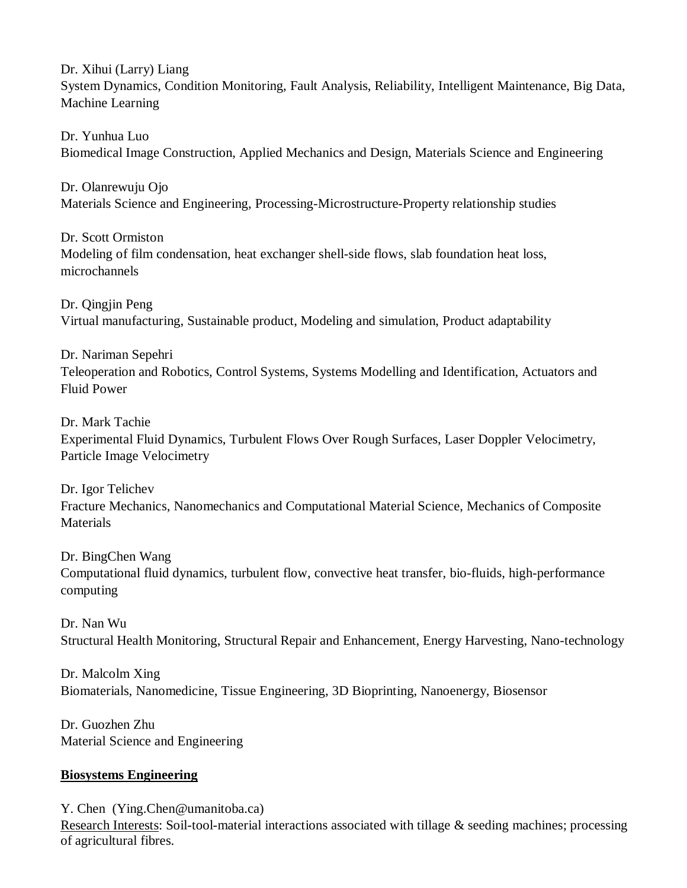Dr. Xihui (Larry) Liang System Dynamics, Condition Monitoring, Fault Analysis, Reliability, Intelligent Maintenance, Big Data, Machine Learning

Dr. Yunhua Luo Biomedical Image Construction, Applied Mechanics and Design, Materials Science and Engineering

Dr. Olanrewuju Ojo Materials Science and Engineering, Processing-Microstructure-Property relationship studies

Dr. Scott Ormiston Modeling of film condensation, heat exchanger shell-side flows, slab foundation heat loss, microchannels

Dr. Qingjin Peng Virtual manufacturing, Sustainable product, Modeling and simulation, Product adaptability

Dr. Nariman Sepehri Teleoperation and Robotics, Control Systems, Systems Modelling and Identification, Actuators and Fluid Power

Dr. Mark Tachie Experimental Fluid Dynamics, Turbulent Flows Over Rough Surfaces, Laser Doppler Velocimetry, Particle Image Velocimetry

Dr. Igor Telichev Fracture Mechanics, Nanomechanics and Computational Material Science, Mechanics of Composite **Materials** 

Dr. BingChen Wang Computational fluid dynamics, turbulent flow, convective heat transfer, bio-fluids, high-performance computing

Dr. Nan Wu Structural Health Monitoring, Structural Repair and Enhancement, Energy Harvesting, Nano-technology

Dr. Malcolm Xing Biomaterials, Nanomedicine, Tissue Engineering, 3D Bioprinting, Nanoenergy, Biosensor

Dr. Guozhen Zhu Material Science and Engineering

## **Biosystems Engineering**

Y. Chen (Ying.Chen@umanitoba.ca)

Research Interests: Soil-tool-material interactions associated with tillage & seeding machines; processing of agricultural fibres.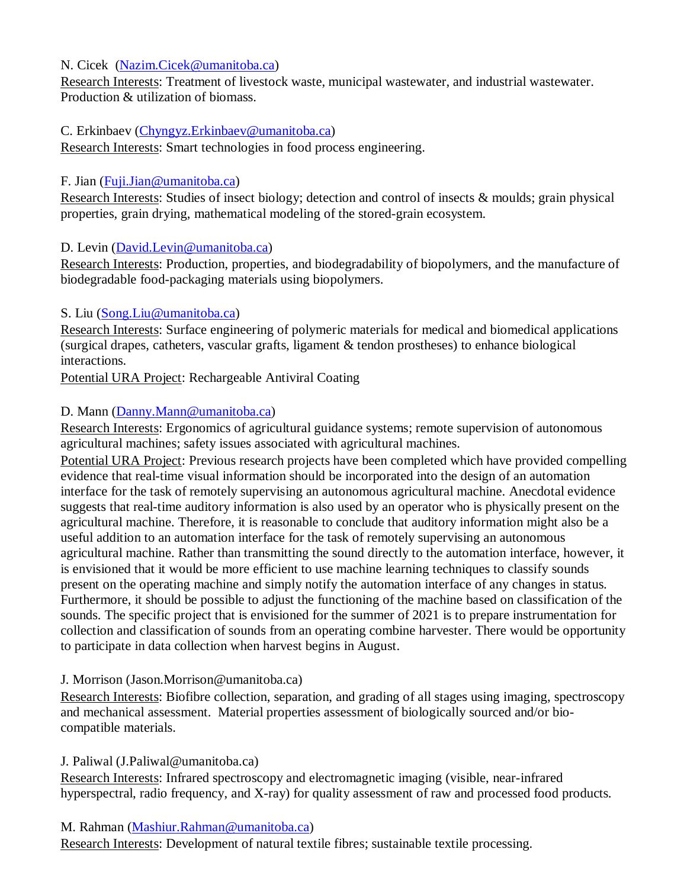### N. Cicek [\(Nazim.Cicek@umanitoba.ca\)](mailto:Nazim.Cicek@umanitoba.ca)

Research Interests: Treatment of livestock waste, municipal wastewater, and industrial wastewater. Production & utilization of biomass.

#### C. Erkinbaev [\(Chyngyz.Erkinbaev@umanitoba.ca\)](mailto:Chyngyz.Erkinbaev@umanitoba.ca)

Research Interests: Smart technologies in food process engineering.

#### F. Jian [\(Fuji.Jian@umanitoba.ca\)](mailto:Fuji.Jian@umanitoba.ca)

Research Interests: Studies of insect biology; detection and control of insects & moulds; grain physical properties, grain drying, mathematical modeling of the stored-grain ecosystem.

#### D. Levin [\(David.Levin@umanitoba.ca\)](mailto:David.Levin@umanitoba.ca)

Research Interests: Production, properties, and biodegradability of biopolymers, and the manufacture of biodegradable food-packaging materials using biopolymers.

#### S. Liu [\(Song.Liu@umanitoba.ca\)](mailto:Song.Liu@umanitoba.ca)

Research Interests: Surface engineering of polymeric materials for medical and biomedical applications (surgical drapes, catheters, vascular grafts, ligament & tendon prostheses) to enhance biological interactions.

Potential URA Project: Rechargeable Antiviral Coating

## D. Mann [\(Danny.Mann@umanitoba.ca\)](mailto:Danny.Mann@umanitoba.ca)

Research Interests: Ergonomics of agricultural guidance systems; remote supervision of autonomous agricultural machines; safety issues associated with agricultural machines.

Potential URA Project: Previous research projects have been completed which have provided compelling evidence that real-time visual information should be incorporated into the design of an automation interface for the task of remotely supervising an autonomous agricultural machine. Anecdotal evidence suggests that real-time auditory information is also used by an operator who is physically present on the agricultural machine. Therefore, it is reasonable to conclude that auditory information might also be a useful addition to an automation interface for the task of remotely supervising an autonomous agricultural machine. Rather than transmitting the sound directly to the automation interface, however, it is envisioned that it would be more efficient to use machine learning techniques to classify sounds present on the operating machine and simply notify the automation interface of any changes in status. Furthermore, it should be possible to adjust the functioning of the machine based on classification of the sounds. The specific project that is envisioned for the summer of 2021 is to prepare instrumentation for collection and classification of sounds from an operating combine harvester. There would be opportunity to participate in data collection when harvest begins in August.

#### J. Morrison (Jason.Morrison@umanitoba.ca)

Research Interests: Biofibre collection, separation, and grading of all stages using imaging, spectroscopy and mechanical assessment. Material properties assessment of biologically sourced and/or biocompatible materials.

#### J. Paliwal (J.Paliwal@umanitoba.ca)

Research Interests: Infrared spectroscopy and electromagnetic imaging (visible, near-infrared hyperspectral, radio frequency, and X-ray) for quality assessment of raw and processed food products.

#### M. Rahman [\(Mashiur.Rahman@umanitoba.ca\)](mailto:Mashiur.Rahman@umanitoba.ca)

Research Interests: Development of natural textile fibres; sustainable textile processing.